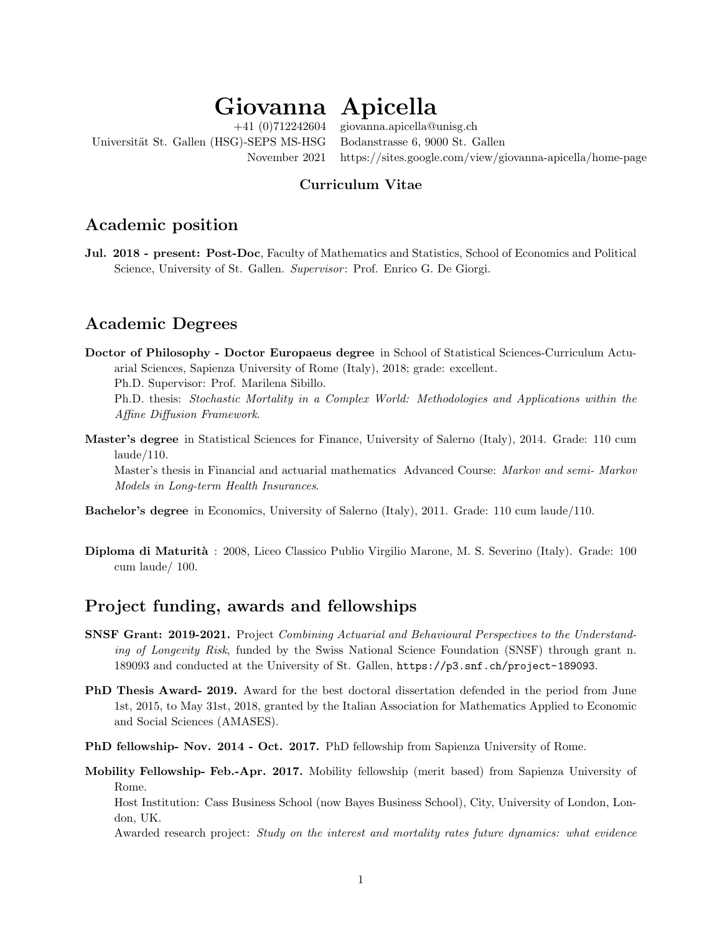# $G$ iovanna Apicella

Universität St. Gallen (HSG)-SEPS MS-HSG Bodanstrasse 6, 9000 St. Gallen

+41 (0)712242604 giovanna.apicella@unisg.ch November 2021 https://sites.google.com/view/giovanna-apicella/home-page

#### Curriculum Vitae

### Academic position

Jul. 2018 - present: Post-Doc, Faculty of Mathematics and Statistics, School of Economics and Political Science, University of St. Gallen. Supervisor: Prof. Enrico G. De Giorgi.

## Academic Degrees

Doctor of Philosophy - Doctor Europaeus degree in School of Statistical Sciences-Curriculum Actuarial Sciences, Sapienza University of Rome (Italy), 2018; grade: excellent.

Ph.D. Supervisor: Prof. Marilena Sibillo.

Ph.D. thesis: Stochastic Mortality in a Complex World: Methodologies and Applications within the Affine Diffusion Framework.

Master's degree in Statistical Sciences for Finance, University of Salerno (Italy), 2014. Grade: 110 cum laude/110.

Master's thesis in Financial and actuarial mathematics Advanced Course: Markov and semi- Markov Models in Long-term Health Insurances.

- Bachelor's degree in Economics, University of Salerno (Italy), 2011. Grade: 110 cum laude/110.
- Diploma di Maturit`a : 2008, Liceo Classico Publio Virgilio Marone, M. S. Severino (Italy). Grade: 100 cum laude/ 100.

## Project funding, awards and fellowships

- SNSF Grant: 2019-2021. Project Combining Actuarial and Behavioural Perspectives to the Understanding of Longevity Risk, funded by the Swiss National Science Foundation (SNSF) through grant n. 189093 and conducted at the University of St. Gallen, https://p3.snf.ch/project-189093.
- PhD Thesis Award- 2019. Award for the best doctoral dissertation defended in the period from June 1st, 2015, to May 31st, 2018, granted by the Italian Association for Mathematics Applied to Economic and Social Sciences (AMASES).
- PhD fellowship- Nov. 2014 Oct. 2017. PhD fellowship from Sapienza University of Rome.
- Mobility Fellowship- Feb.-Apr. 2017. Mobility fellowship (merit based) from Sapienza University of Rome.

Host Institution: Cass Business School (now Bayes Business School), City, University of London, London, UK.

Awarded research project: Study on the interest and mortality rates future dynamics: what evidence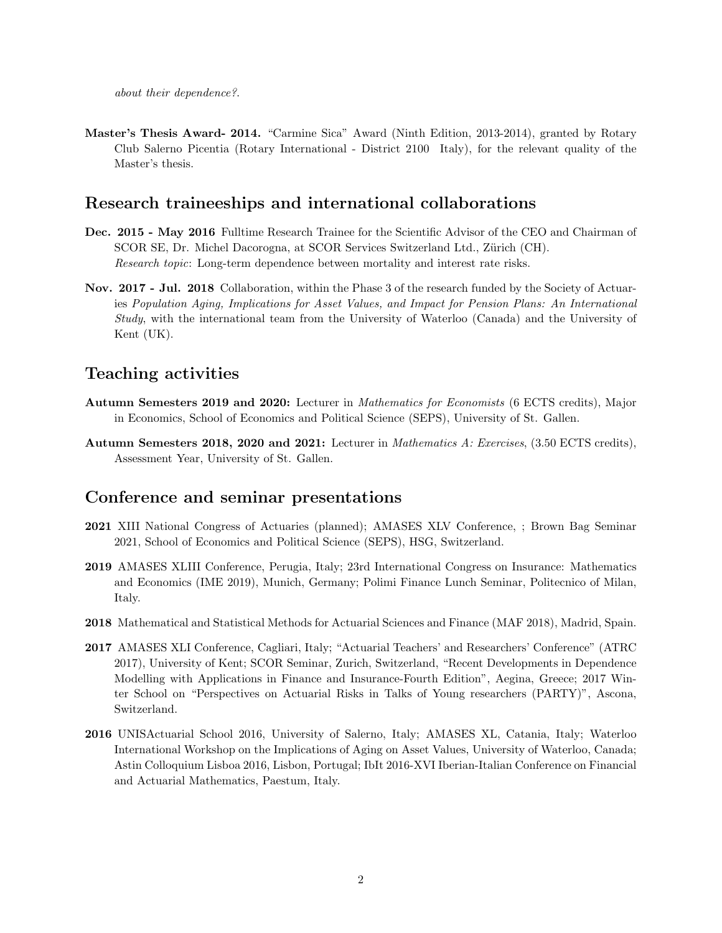Master's Thesis Award- 2014. "Carmine Sica" Award (Ninth Edition, 2013-2014), granted by Rotary Club Salerno Picentia (Rotary International - District 2100 Italy), for the relevant quality of the Master's thesis.

#### Research traineeships and international collaborations

- Dec. 2015 May 2016 Fulltime Research Trainee for the Scientific Advisor of the CEO and Chairman of SCOR SE, Dr. Michel Dacorogna, at SCOR Services Switzerland Ltd., Zürich (CH). Research topic: Long-term dependence between mortality and interest rate risks.
- Nov. 2017 Jul. 2018 Collaboration, within the Phase 3 of the research funded by the Society of Actuaries Population Aging, Implications for Asset Values, and Impact for Pension Plans: An International Study, with the international team from the University of Waterloo (Canada) and the University of Kent (UK).

#### Teaching activities

- Autumn Semesters 2019 and 2020: Lecturer in Mathematics for Economists (6 ECTS credits), Major in Economics, School of Economics and Political Science (SEPS), University of St. Gallen.
- Autumn Semesters 2018, 2020 and 2021: Lecturer in Mathematics A: Exercises, (3.50 ECTS credits), Assessment Year, University of St. Gallen.

#### Conference and seminar presentations

- 2021 XIII National Congress of Actuaries (planned); AMASES XLV Conference, ; Brown Bag Seminar 2021, School of Economics and Political Science (SEPS), HSG, Switzerland.
- 2019 AMASES XLIII Conference, Perugia, Italy; 23rd International Congress on Insurance: Mathematics and Economics (IME 2019), Munich, Germany; Polimi Finance Lunch Seminar, Politecnico of Milan, Italy.
- 2018 Mathematical and Statistical Methods for Actuarial Sciences and Finance (MAF 2018), Madrid, Spain.
- 2017 AMASES XLI Conference, Cagliari, Italy; "Actuarial Teachers' and Researchers' Conference" (ATRC 2017), University of Kent; SCOR Seminar, Zurich, Switzerland, "Recent Developments in Dependence Modelling with Applications in Finance and Insurance-Fourth Edition", Aegina, Greece; 2017 Winter School on "Perspectives on Actuarial Risks in Talks of Young researchers (PARTY)", Ascona, Switzerland.
- 2016 UNISActuarial School 2016, University of Salerno, Italy; AMASES XL, Catania, Italy; Waterloo International Workshop on the Implications of Aging on Asset Values, University of Waterloo, Canada; Astin Colloquium Lisboa 2016, Lisbon, Portugal; IbIt 2016-XVI Iberian-Italian Conference on Financial and Actuarial Mathematics, Paestum, Italy.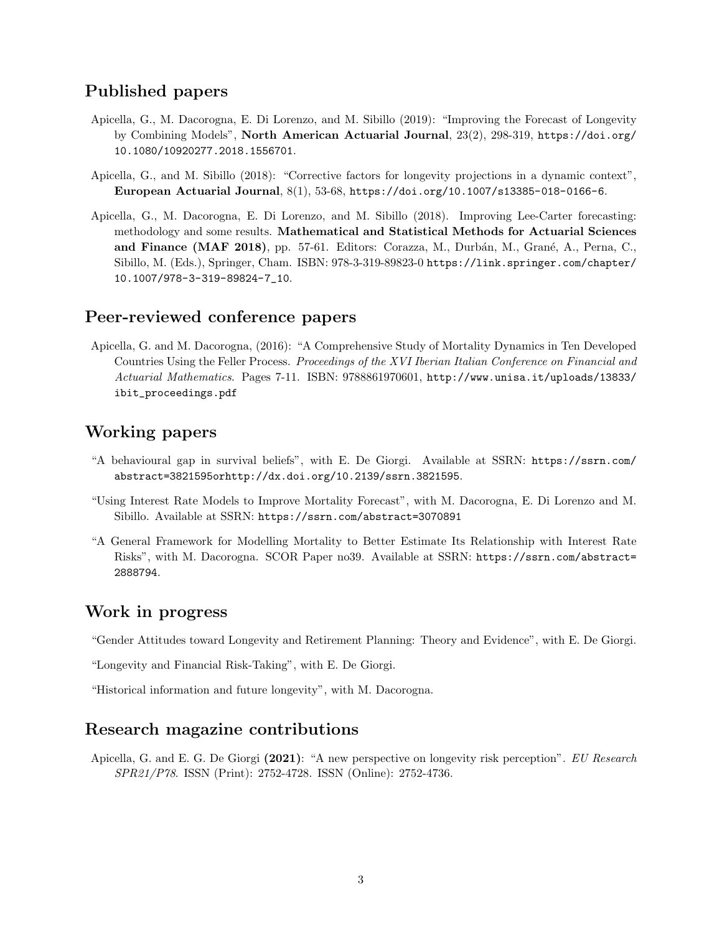### Published papers

- Apicella, G., M. Dacorogna, E. Di Lorenzo, and M. Sibillo (2019): "Improving the Forecast of Longevity by Combining Models", North American Actuarial Journal, 23(2), 298-319, https://doi.org/ 10.1080/10920277.2018.1556701.
- Apicella, G., and M. Sibillo (2018): "Corrective factors for longevity projections in a dynamic context", European Actuarial Journal, 8(1), 53-68, https://doi.org/10.1007/s13385-018-0166-6.
- Apicella, G., M. Dacorogna, E. Di Lorenzo, and M. Sibillo (2018). Improving Lee-Carter forecasting: methodology and some results. Mathematical and Statistical Methods for Actuarial Sciences and Finance (MAF 2018), pp. 57-61. Editors: Corazza, M., Durbán, M., Grané, A., Perna, C., Sibillo, M. (Eds.), Springer, Cham. ISBN: 978-3-319-89823-0 https://link.springer.com/chapter/ 10.1007/978-3-319-89824-7\_10.

#### Peer-reviewed conference papers

Apicella, G. and M. Dacorogna, (2016): "A Comprehensive Study of Mortality Dynamics in Ten Developed Countries Using the Feller Process. Proceedings of the XVI Iberian Italian Conference on Financial and Actuarial Mathematics. Pages 7-11. ISBN: 9788861970601, http://www.unisa.it/uploads/13833/ ibit\_proceedings.pdf

### Working papers

- "A behavioural gap in survival beliefs", with E. De Giorgi. Available at SSRN: https://ssrn.com/ abstract=3821595orhttp://dx.doi.org/10.2139/ssrn.3821595.
- "Using Interest Rate Models to Improve Mortality Forecast", with M. Dacorogna, E. Di Lorenzo and M. Sibillo. Available at SSRN: https://ssrn.com/abstract=3070891
- "A General Framework for Modelling Mortality to Better Estimate Its Relationship with Interest Rate Risks", with M. Dacorogna. SCOR Paper no39. Available at SSRN: https://ssrn.com/abstract= 2888794.

#### Work in progress

"Gender Attitudes toward Longevity and Retirement Planning: Theory and Evidence", with E. De Giorgi.

"Longevity and Financial Risk-Taking", with E. De Giorgi.

"Historical information and future longevity", with M. Dacorogna.

#### Research magazine contributions

Apicella, G. and E. G. De Giorgi (2021): "A new perspective on longevity risk perception". EU Research SPR21/P78. ISSN (Print): 2752-4728. ISSN (Online): 2752-4736.